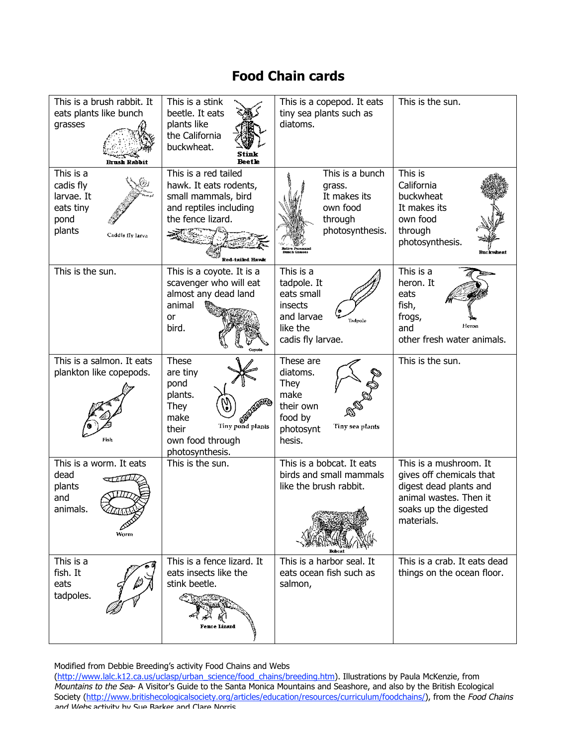## **Food Chain cards**

| This is a brush rabbit. It<br>eats plants like bunch<br>grasses<br><b>Brush Rabbit</b>  | This is a stink<br>beetle. It eats<br>plants like<br>the California<br>buckwheat.<br><b>Beetle</b>                                       | This is a copepod. It eats<br>tiny sea plants such as<br>diatoms.                                           | This is the sun.                                                                                                                              |
|-----------------------------------------------------------------------------------------|------------------------------------------------------------------------------------------------------------------------------------------|-------------------------------------------------------------------------------------------------------------|-----------------------------------------------------------------------------------------------------------------------------------------------|
| This is a<br>cadis fly<br>larvae. It<br>eats tiny<br>pond<br>plants<br>Caddis fly larva | This is a red tailed<br>hawk. It eats rodents,<br>small mammals, bird<br>and reptiles including<br>the fence lizard.<br>Red-tailed Havle | This is a bunch<br>grass.<br>It makes its<br>own food<br>through<br>photosynthesis.<br>tive Perennial       | This is<br>California<br>buckwheat<br>It makes its<br>own food<br>through<br>photosynthesis.<br><b>Buckwheat</b>                              |
| This is the sun.                                                                        | This is a coyote. It is a<br>scavenger who will eat<br>almost any dead land<br>animal<br>or<br>bird.<br><b>Coyote</b>                    | This is a<br>tadpole. It<br>eats small<br>insects<br>and larvae<br>Tadpole<br>like the<br>cadis fly larvae. | This is a<br>heron. It<br>eats<br>fish,<br>frogs,<br>Heron<br>and<br>other fresh water animals.                                               |
| This is a salmon. It eats<br>plankton like copepods.<br>Fish                            | These<br>are tiny<br>pond<br>plants.<br>They<br>make<br>6,<br>Tiny pond plants<br>their<br>own food through<br>photosynthesis.           | These are<br>diatoms.<br>They<br>make<br>their own<br>food by<br>Tiny sea plants<br>photosynt<br>hesis.     | This is the sun.                                                                                                                              |
| This is a worm. It eats<br>dead<br>plants<br>and<br>animals.<br>Worm                    | This is the sun.                                                                                                                         | This is a bobcat. It eats<br>birds and small mammals<br>like the brush rabbit.                              | This is a mushroom. It<br>gives off chemicals that<br>digest dead plants and<br>animal wastes. Then it<br>soaks up the digested<br>materials. |
| This is a<br>fish. It<br>eats<br>tadpoles.                                              | This is a fence lizard. It<br>eats insects like the<br>stink beetle.<br>Fence Lizard                                                     | This is a harbor seal. It<br>eats ocean fish such as<br>salmon,                                             | This is a crab. It eats dead<br>things on the ocean floor.                                                                                    |

Modified from Debbie Breeding's activity Food Chains and Webs

(http://www.lalc.k12.ca.us/uclasp/urban\_science/food\_chains/breeding.htm). Illustrations by Paula McKenzie, from Mountains to the Sea- A Visitor's Guide to the Santa Monica Mountains and Seashore, and also by the British Ecological Society (http://www.britishecologicalsociety.org/articles/education/resources/curriculum/foodchains/), from the Food Chains and Webs activity by Sue Barker and Clare Norris.